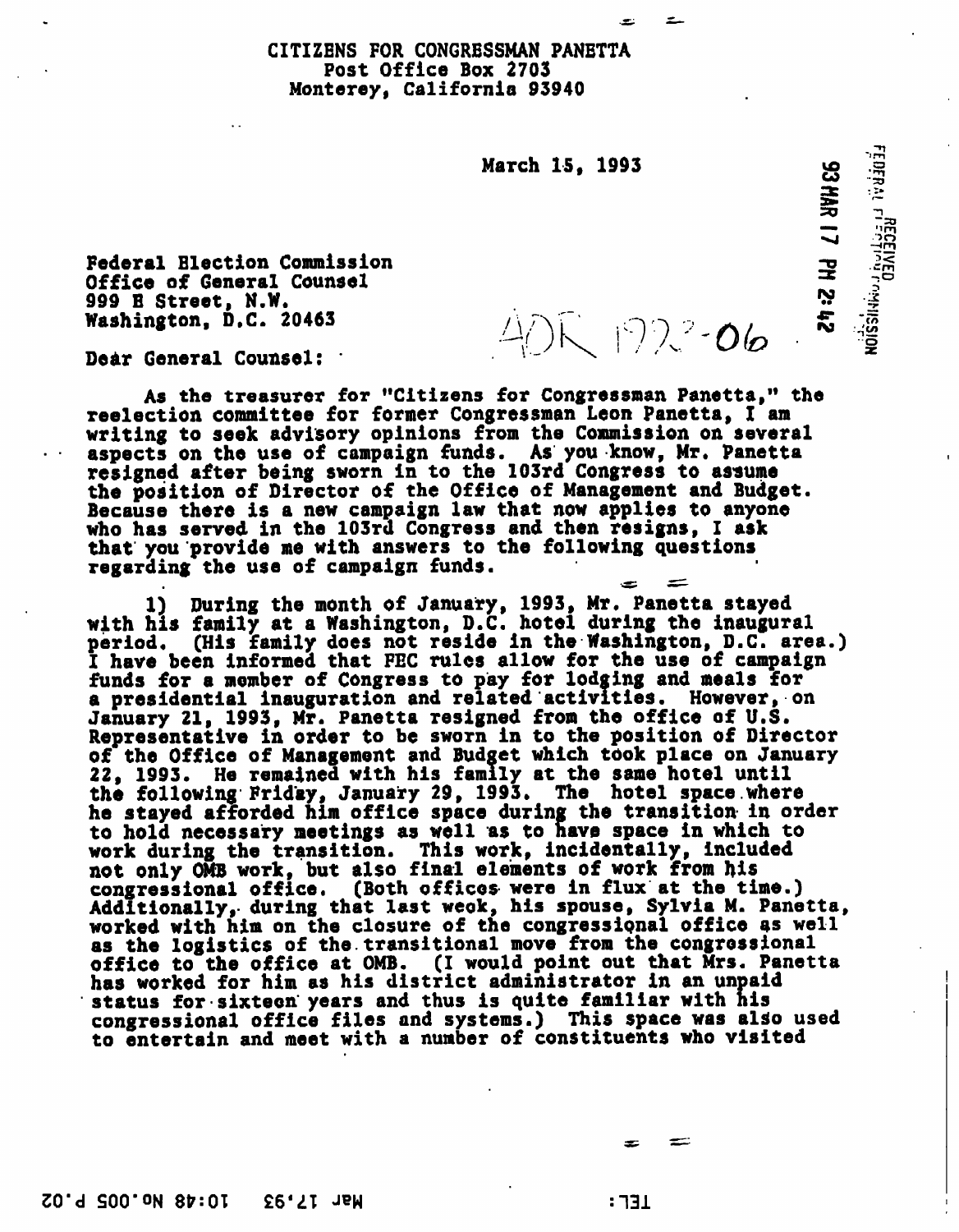## CITIZENS FOR CONGRESSMAN PANETTA Post Office Box 2703 Monterey, California 93940

March 15. 1993

 $40K$  192  $2$  06

**S2 HAR 17 PH 2: 42** 

 $\frac{1}{2}$   $\frac{1}{2}$   $\frac{1}{2}$   $\frac{1}{2}$   $\frac{1}{2}$   $\frac{1}{2}$   $\frac{1}{2}$   $\frac{1}{2}$   $\frac{1}{2}$   $\frac{1}{2}$   $\frac{1}{2}$   $\frac{1}{2}$   $\frac{1}{2}$   $\frac{1}{2}$   $\frac{1}{2}$   $\frac{1}{2}$ 

Federal Election Commission Office of General Counsel 999 B Street, N.W.<br>Washington, D.C. 20463

Dear General Counsel:

As the treasurer for "Citizens for Congressman Panetta," the reelection committee for former Congressman Leon Panetta, I am writing to seek advisory opinions from the Commission on several aspects on the use of campaign funds. As you know, Mr. Panetta resigned after being sworn in to the 103rd Congress to assume the position of Director of the Office of Management and Budget. Because there is a new campaign law that now applies to anyone who has served in the 103rd Congress and then resigns, I ask that you 'provide me with answers to the following questions regarding the use of campaign funds.

1) During the month of January, 1993, Mr. Panetta stayed with his family at a Washington, D.C. hotel during the inaugural period. (His family does not reside in the Washington, D.C. area.) I have been informed that FEC rules allow for the use of campaign funds for a member of Congress to pay for lodging and meals for a presidential inauguration and related'activities. However, on January 21, 1993, Mr. Panetta resigned from the office of U.S. Representative in order to be sworn in to the position of Director of the Office of Management and Budget which took place on January 22, 1993. He remained with his family at the same hotel until the following Friday, January 29, 1993. The hotel space.where he stayed afforded him office space during the transition in order to hold necessary meetings as well as to have space in which to work during the transition. This work, incidentally, included not only OMB work, but also final elements of work from his congressional office. (Both offices were in flux at the time.) Additionally, during that last weok, his spouse, Sylvia M. Panetta, worked with him on the closure of the congressipnal office as well as the logistics of the.transitional move from the congressional office to the office at OMB. (I would point out that Mrs. Panetta has worked for him as his district administrator in an unpaid status for sixteen years and thus is quite familiar with his congressional office files and systems.) This space was also used to entertain and meet with a number of constituents who visited

: 731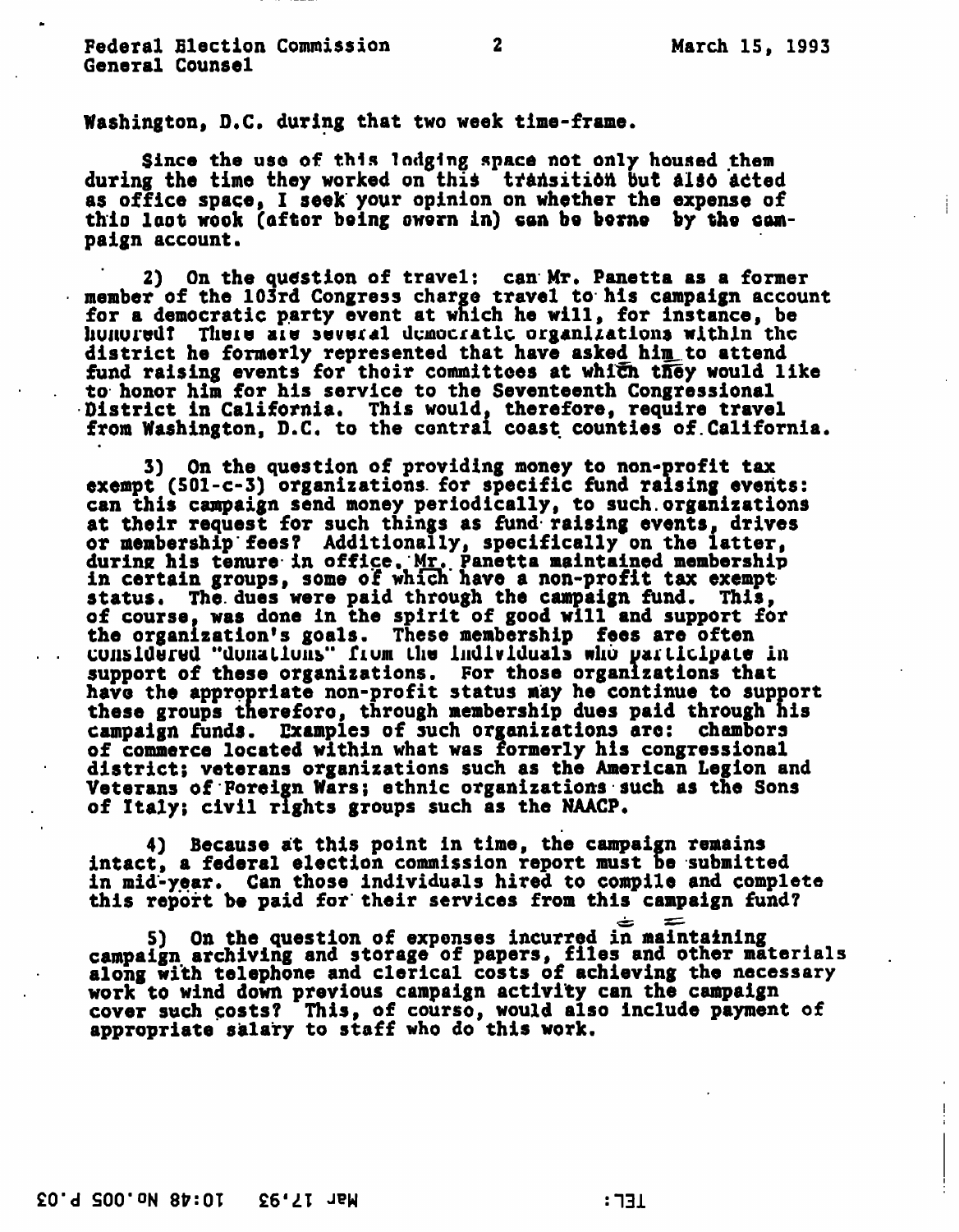Washington, D.C. during that two week time-frame.

Since the use of this lodging space not only housed them during the time they worked on this transition but also acted as office space, I seek your opinion on whether the expense of thio last wook (aftor being owern in) can be berne by the campaign account.

2) On the question of travel: can Mr. Panetta as a former member of the 103rd Congress charge travel to his campaign account for a democratic party event at which he will, for instance, be hunured? There are several democratic organizations within the district he formerly represented that have asked him.to attend fund raising events for thoir committees at which they would like to honor him for his service to the Seventeenth Congressional District in California. This would, therefore, require travel from Washington, D.C. to the central coast counties of.California.

3) On the question of providing money to non-profit tax exempt (SOl-c-3) organizations, for specific fund raising events: can this campaign send money periodically, to such.organizations at their request for such things as fund raising events, drives or membership'fees? Additionally, specifically on the latter, during his tenure in office, Mr. Panetta maintained membership in certain groups, some o'f which have a non-profit tax exempt status. The. dues were paid through the campaign fund. This, of course, was done in the spirit of good will and support for the organization's goals. These membership fees are often cunsidured "dunations" from the individuals who participate in support of these organizations. For those organizations that have the appropriate non-profit status may he continue to support these groups thereforo, through membership dues paid through his campaign funds. Examples of such organizations are: chambers of commerce located within what was formerly his congressional district; veterans organizations such as the American Legion and Veterans of Foreign Wars; ethnic organizations such as the Sons of Italy; civil rights groups such as the NAACP,

4) Because at this point in time, the campaign remains intact, a federal election commission report must be submitted in mid-year. Can those individuals hired to compile and complete this report be paid for' their services from this campaign fund?

5) On the question of expenses incurred in maintaining campaign archiving and storage of papers, files and other materials along with telephone and clerical costs of achieving the necessary work to wind down previous campaign activity can the campaign cover such costs? This, of courso, would also include payment of appropriate salary to staff who do this work.

£0'd SOO'ON

 $:731$